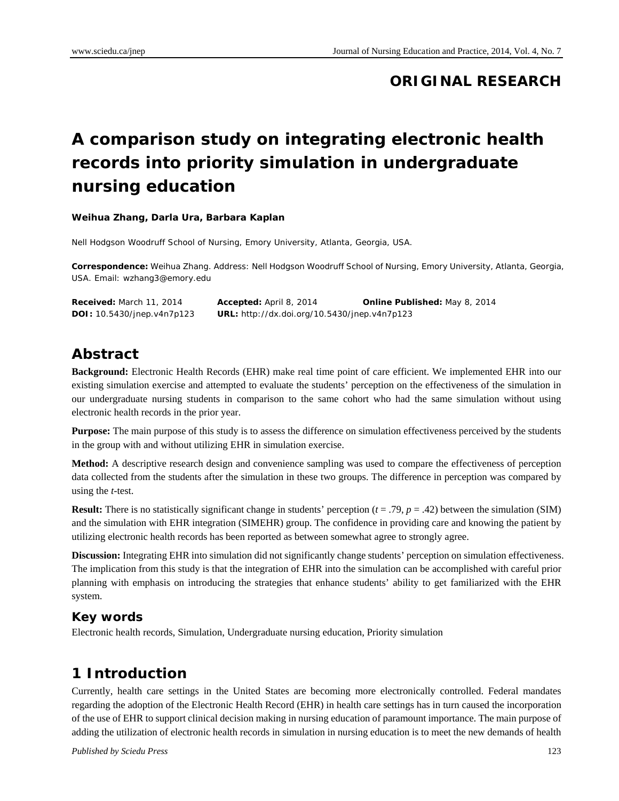### **ORIGINAL RESEARCH**

# **A comparison study on integrating electronic health records into priority simulation in undergraduate nursing education**

#### **Weihua Zhang, Darla Ura, Barbara Kaplan**

Nell Hodgson Woodruff School of Nursing, Emory University, Atlanta, Georgia, USA.

**Correspondence:** Weihua Zhang. Address: Nell Hodgson Woodruff School of Nursing, Emory University, Atlanta, Georgia, USA. Email: wzhang3@emory.edu

| Received: March 11, 2014          | <b>Accepted:</b> April 8, 2014                      | <b>Online Published: May 8, 2014</b> |
|-----------------------------------|-----------------------------------------------------|--------------------------------------|
| <b>DOI:</b> 10.5430/jnep.v4n7p123 | <b>URL:</b> http://dx.doi.org/10.5430/jnep.v4n7p123 |                                      |

### **Abstract**

**Background:** Electronic Health Records (EHR) make real time point of care efficient. We implemented EHR into our existing simulation exercise and attempted to evaluate the students' perception on the effectiveness of the simulation in our undergraduate nursing students in comparison to the same cohort who had the same simulation without using electronic health records in the prior year.

**Purpose:** The main purpose of this study is to assess the difference on simulation effectiveness perceived by the students in the group with and without utilizing EHR in simulation exercise.

**Method:** A descriptive research design and convenience sampling was used to compare the effectiveness of perception data collected from the students after the simulation in these two groups. The difference in perception was compared by using the *t*-test.

**Result:** There is no statistically significant change in students' perception  $(t = .79, p = .42)$  between the simulation (SIM) and the simulation with EHR integration (SIMEHR) group. The confidence in providing care and knowing the patient by utilizing electronic health records has been reported as between somewhat agree to strongly agree.

**Discussion:** Integrating EHR into simulation did not significantly change students' perception on simulation effectiveness. The implication from this study is that the integration of EHR into the simulation can be accomplished with careful prior planning with emphasis on introducing the strategies that enhance students' ability to get familiarized with the EHR system.

#### **Key words**

Electronic health records, Simulation, Undergraduate nursing education, Priority simulation

## **1 Introduction**

Currently, health care settings in the United States are becoming more electronically controlled. Federal mandates regarding the adoption of the Electronic Health Record (EHR) in health care settings has in turn caused the incorporation of the use of EHR to support clinical decision making in nursing education of paramount importance. The main purpose of adding the utilization of electronic health records in simulation in nursing education is to meet the new demands of health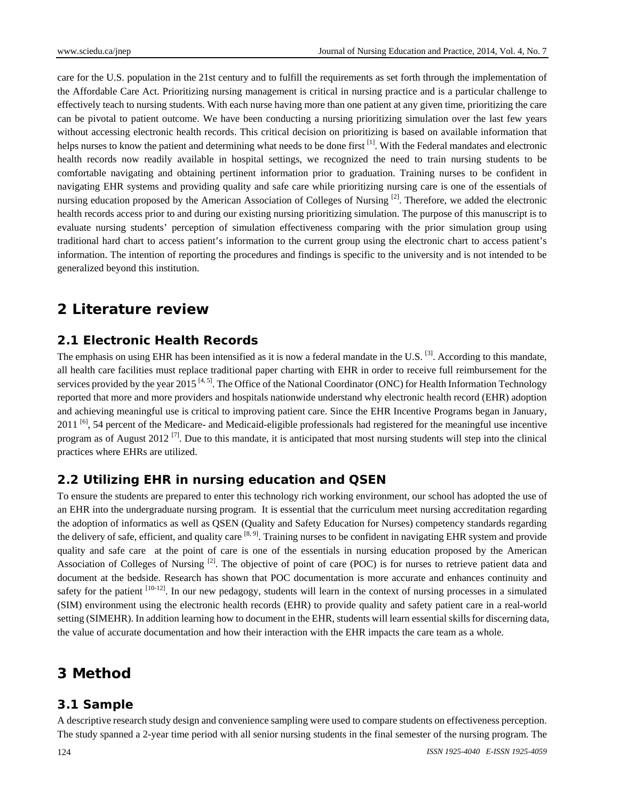care for the U.S. population in the 21st century and to fulfill the requirements as set forth through the implementation of the Affordable Care Act. Prioritizing nursing management is critical in nursing practice and is a particular challenge to effectively teach to nursing students. With each nurse having more than one patient at any given time, prioritizing the care can be pivotal to patient outcome. We have been conducting a nursing prioritizing simulation over the last few years without accessing electronic health records. This critical decision on prioritizing is based on available information that helps nurses to know the patient and determining what needs to be done first [1]. With the Federal mandates and electronic health records now readily available in hospital settings, we recognized the need to train nursing students to be comfortable navigating and obtaining pertinent information prior to graduation. Training nurses to be confident in navigating EHR systems and providing quality and safe care while prioritizing nursing care is one of the essentials of nursing education proposed by the American Association of Colleges of Nursing  $^{[2]}$ . Therefore, we added the electronic health records access prior to and during our existing nursing prioritizing simulation. The purpose of this manuscript is to evaluate nursing students' perception of simulation effectiveness comparing with the prior simulation group using traditional hard chart to access patient's information to the current group using the electronic chart to access patient's information. The intention of reporting the procedures and findings is specific to the university and is not intended to be generalized beyond this institution.

### **2 Literature review**

#### **2.1 Electronic Health Records**

The emphasis on using EHR has been intensified as it is now a federal mandate in the U.S. <sup>[3]</sup>. According to this mandate, all health care facilities must replace traditional paper charting with EHR in order to receive full reimbursement for the services provided by the year 2015<sup>[4, 5]</sup>. The Office of the National Coordinator (ONC) for Health Information Technology reported that more and more providers and hospitals nationwide understand why electronic health record (EHR) adoption and achieving meaningful use is critical to improving patient care. Since the EHR Incentive Programs began in January,  $2011$  [6], 54 percent of the Medicare- and Medicaid-eligible professionals had registered for the meaningful use incentive program as of August 2012<sup>[7]</sup>. Due to this mandate, it is anticipated that most nursing students will step into the clinical practices where EHRs are utilized.

#### **2.2 Utilizing EHR in nursing education and QSEN**

To ensure the students are prepared to enter this technology rich working environment, our school has adopted the use of an EHR into the undergraduate nursing program. It is essential that the curriculum meet nursing accreditation regarding the adoption of informatics as well as QSEN (Quality and Safety Education for Nurses) competency standards regarding the delivery of safe, efficient, and quality care <sup>[8, 9]</sup>. Training nurses to be confident in navigating EHR system and provide quality and safe care at the point of care is one of the essentials in nursing education proposed by the American Association of Colleges of Nursing  $^{[2]}$ . The objective of point of care (POC) is for nurses to retrieve patient data and document at the bedside. Research has shown that POC documentation is more accurate and enhances continuity and safety for the patient  $[10-12]$ . In our new pedagogy, students will learn in the context of nursing processes in a simulated (SIM) environment using the electronic health records (EHR) to provide quality and safety patient care in a real-world setting (SIMEHR). In addition learning how to document in the EHR, students will learn essential skills for discerning data, the value of accurate documentation and how their interaction with the EHR impacts the care team as a whole.

## **3 Method**

#### **3.1 Sample**

A descriptive research study design and convenience sampling were used to compare students on effectiveness perception. The study spanned a 2-year time period with all senior nursing students in the final semester of the nursing program. The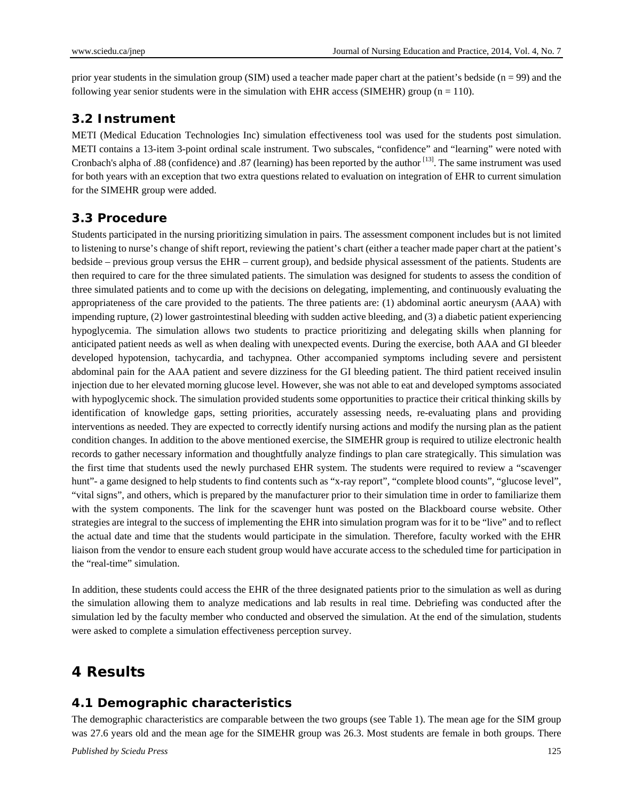prior year students in the simulation group (SIM) used a teacher made paper chart at the patient's bedside  $(n = 99)$  and the following year senior students were in the simulation with EHR access (SIMEHR) group ( $n = 110$ ).

#### **3.2 Instrument**

METI (Medical Education Technologies Inc) simulation effectiveness tool was used for the students post simulation. METI contains a 13-item 3-point ordinal scale instrument. Two subscales, "confidence" and "learning" were noted with Cronbach's alpha of .88 (confidence) and .87 (learning) has been reported by the author  $^{[13]}$ . The same instrument was used for both years with an exception that two extra questions related to evaluation on integration of EHR to current simulation for the SIMEHR group were added.

#### **3.3 Procedure**

Students participated in the nursing prioritizing simulation in pairs. The assessment component includes but is not limited to listening to nurse's change of shift report, reviewing the patient's chart (either a teacher made paper chart at the patient's bedside – previous group versus the EHR – current group), and bedside physical assessment of the patients. Students are then required to care for the three simulated patients. The simulation was designed for students to assess the condition of three simulated patients and to come up with the decisions on delegating, implementing, and continuously evaluating the appropriateness of the care provided to the patients. The three patients are: (1) abdominal aortic aneurysm (AAA) with impending rupture, (2) lower gastrointestinal bleeding with sudden active bleeding, and (3) a diabetic patient experiencing hypoglycemia. The simulation allows two students to practice prioritizing and delegating skills when planning for anticipated patient needs as well as when dealing with unexpected events. During the exercise, both AAA and GI bleeder developed hypotension, tachycardia, and tachypnea. Other accompanied symptoms including severe and persistent abdominal pain for the AAA patient and severe dizziness for the GI bleeding patient. The third patient received insulin injection due to her elevated morning glucose level. However, she was not able to eat and developed symptoms associated with hypoglycemic shock. The simulation provided students some opportunities to practice their critical thinking skills by identification of knowledge gaps, setting priorities, accurately assessing needs, re-evaluating plans and providing interventions as needed. They are expected to correctly identify nursing actions and modify the nursing plan as the patient condition changes. In addition to the above mentioned exercise, the SIMEHR group is required to utilize electronic health records to gather necessary information and thoughtfully analyze findings to plan care strategically. This simulation was the first time that students used the newly purchased EHR system. The students were required to review a "scavenger hunt"- a game designed to help students to find contents such as "x-ray report", "complete blood counts", "glucose level", "vital signs", and others, which is prepared by the manufacturer prior to their simulation time in order to familiarize them with the system components. The link for the scavenger hunt was posted on the Blackboard course website. Other strategies are integral to the success of implementing the EHR into simulation program was for it to be "live" and to reflect the actual date and time that the students would participate in the simulation. Therefore, faculty worked with the EHR liaison from the vendor to ensure each student group would have accurate access to the scheduled time for participation in the "real-time" simulation.

In addition, these students could access the EHR of the three designated patients prior to the simulation as well as during the simulation allowing them to analyze medications and lab results in real time. Debriefing was conducted after the simulation led by the faculty member who conducted and observed the simulation. At the end of the simulation, students were asked to complete a simulation effectiveness perception survey.

## **4 Results**

#### **4.1 Demographic characteristics**

The demographic characteristics are comparable between the two groups (see Table 1). The mean age for the SIM group was 27.6 years old and the mean age for the SIMEHR group was 26.3. Most students are female in both groups. There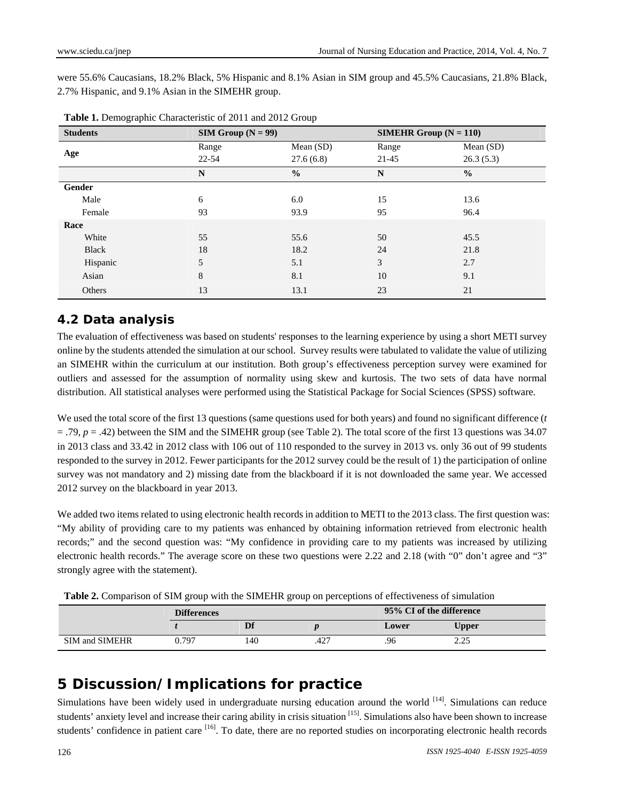were 55.6% Caucasians, 18.2% Black, 5% Hispanic and 8.1% Asian in SIM group and 45.5% Caucasians, 21.8% Black, 2.7% Hispanic, and 9.1% Asian in the SIMEHR group.

| <b>Students</b> |             | $SIM Group (N = 99)$ |       | <b>SIMEHR Group</b> $(N = 110)$ |  |
|-----------------|-------------|----------------------|-------|---------------------------------|--|
| Age             | Range       | Mean $(SD)$          | Range | Mean $(SD)$                     |  |
|                 | $22 - 54$   | 27.6(6.8)            | 21-45 | 26.3(5.3)                       |  |
|                 | $\mathbf N$ | $\frac{0}{0}$        | N     | $\frac{0}{0}$                   |  |
| Gender          |             |                      |       |                                 |  |
| Male            | 6           | 6.0                  | 15    | 13.6                            |  |
| Female          | 93          | 93.9                 | 95    | 96.4                            |  |
| Race            |             |                      |       |                                 |  |
| White           | 55          | 55.6                 | 50    | 45.5                            |  |
| Black           | 18          | 18.2                 | 24    | 21.8                            |  |
| Hispanic        | 5           | 5.1                  | 3     | 2.7                             |  |
| Asian           | 8           | 8.1                  | 10    | 9.1                             |  |
| Others          | 13          | 13.1                 | 23    | 21                              |  |

**Table 1.** Demographic Characteristic of 2011 and 2012 Group

### **4.2 Data analysis**

The evaluation of effectiveness was based on students' responses to the learning experience by using a short METI survey online by the students attended the simulation at our school. Survey results were tabulated to validate the value of utilizing an SIMEHR within the curriculum at our institution. Both group's effectiveness perception survey were examined for outliers and assessed for the assumption of normality using skew and kurtosis. The two sets of data have normal distribution. All statistical analyses were performed using the Statistical Package for Social Sciences (SPSS) software.

We used the total score of the first 13 questions (same questions used for both years) and found no significant difference (*t*  $=$  .79,  $p = .42$ ) between the SIM and the SIMEHR group (see Table 2). The total score of the first 13 questions was 34.07 in 2013 class and 33.42 in 2012 class with 106 out of 110 responded to the survey in 2013 vs. only 36 out of 99 students responded to the survey in 2012. Fewer participants for the 2012 survey could be the result of 1) the participation of online survey was not mandatory and 2) missing date from the blackboard if it is not downloaded the same year. We accessed 2012 survey on the blackboard in year 2013.

We added two items related to using electronic health records in addition to METI to the 2013 class. The first question was: "My ability of providing care to my patients was enhanced by obtaining information retrieved from electronic health records;" and the second question was: "My confidence in providing care to my patients was increased by utilizing electronic health records." The average score on these two questions were 2.22 and 2.18 (with "0" don't agree and "3" strongly agree with the statement).

**Table 2.** Comparison of SIM group with the SIMEHR group on perceptions of effectiveness of simulation

|                       | <b>Differences</b> |     |      | 95% CI of the difference |            |
|-----------------------|--------------------|-----|------|--------------------------|------------|
|                       |                    | Df  |      | Lower                    | Upper      |
| <b>SIM and SIMEHR</b> | 0.797              | 140 | .427 | .96                      | າ າ ເ<br>ر |

## **5 Discussion/Implications for practice**

Simulations have been widely used in undergraduate nursing education around the world <sup>[14]</sup>. Simulations can reduce students' anxiety level and increase their caring ability in crisis situation [15]. Simulations also have been shown to increase students' confidence in patient care <sup>[16]</sup>. To date, there are no reported studies on incorporating electronic health records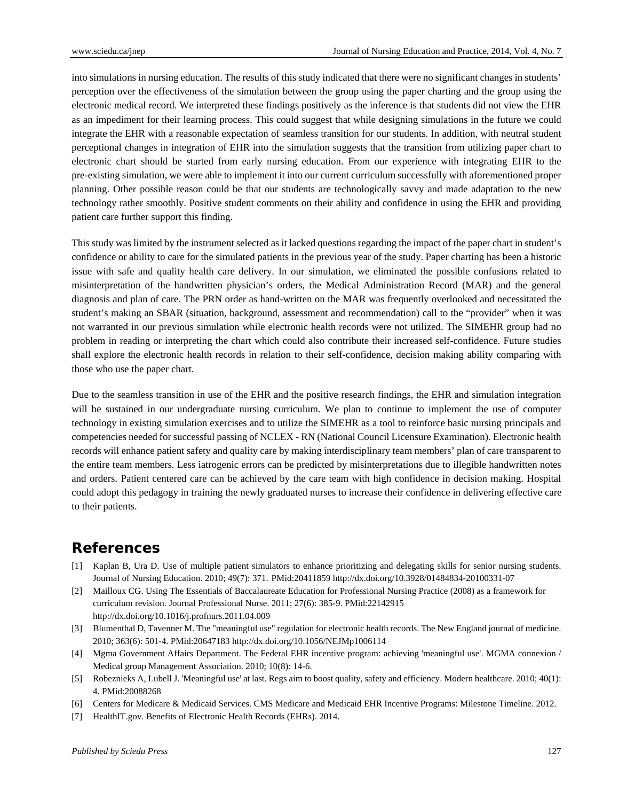into simulations in nursing education. The results of this study indicated that there were no significant changes in students' perception over the effectiveness of the simulation between the group using the paper charting and the group using the electronic medical record. We interpreted these findings positively as the inference is that students did not view the EHR as an impediment for their learning process. This could suggest that while designing simulations in the future we could integrate the EHR with a reasonable expectation of seamless transition for our students. In addition, with neutral student perceptional changes in integration of EHR into the simulation suggests that the transition from utilizing paper chart to electronic chart should be started from early nursing education. From our experience with integrating EHR to the pre-existing simulation, we were able to implement it into our current curriculum successfully with aforementioned proper planning. Other possible reason could be that our students are technologically savvy and made adaptation to the new technology rather smoothly. Positive student comments on their ability and confidence in using the EHR and providing patient care further support this finding.

This study was limited by the instrument selected as it lacked questions regarding the impact of the paper chart in student's confidence or ability to care for the simulated patients in the previous year of the study. Paper charting has been a historic issue with safe and quality health care delivery. In our simulation, we eliminated the possible confusions related to misinterpretation of the handwritten physician's orders, the Medical Administration Record (MAR) and the general diagnosis and plan of care. The PRN order as hand-written on the MAR was frequently overlooked and necessitated the student's making an SBAR (situation, background, assessment and recommendation) call to the "provider" when it was not warranted in our previous simulation while electronic health records were not utilized. The SIMEHR group had no problem in reading or interpreting the chart which could also contribute their increased self-confidence. Future studies shall explore the electronic health records in relation to their self-confidence, decision making ability comparing with those who use the paper chart.

Due to the seamless transition in use of the EHR and the positive research findings, the EHR and simulation integration will be sustained in our undergraduate nursing curriculum. We plan to continue to implement the use of computer technology in existing simulation exercises and to utilize the SIMEHR as a tool to reinforce basic nursing principals and competencies needed for successful passing of NCLEX - RN (National Council Licensure Examination). Electronic health records will enhance patient safety and quality care by making interdisciplinary team members' plan of care transparent to the entire team members. Less iatrogenic errors can be predicted by misinterpretations due to illegible handwritten notes and orders. Patient centered care can be achieved by the care team with high confidence in decision making. Hospital could adopt this pedagogy in training the newly graduated nurses to increase their confidence in delivering effective care to their patients.

### **References**

- [1] Kaplan B, Ura D. Use of multiple patient simulators to enhance prioritizing and delegating skills for senior nursing students. Journal of Nursing Education. 2010; 49(7): 371. PMid:20411859 http://dx.doi.org/10.3928/01484834-20100331-07
- [2] Mailloux CG. Using The Essentials of Baccalaureate Education for Professional Nursing Practice (2008) as a framework for curriculum revision. Journal Professional Nurse. 2011; 27(6): 385-9. PMid:22142915 http://dx.doi.org/10.1016/j.profnurs.2011.04.009
- [3] Blumenthal D, Tavenner M. The "meaningful use" regulation for electronic health records. The New England journal of medicine. 2010; 363(6): 501-4. PMid:20647183 http://dx.doi.org/10.1056/NEJMp1006114
- [4] Mgma Government Affairs Department. The Federal EHR incentive program: achieving 'meaningful use'. MGMA connexion / Medical group Management Association. 2010; 10(8): 14-6.
- [5] Robeznieks A, Lubell J. 'Meaningful use' at last. Regs aim to boost quality, safety and efficiency. Modern healthcare. 2010; 40(1): 4. PMid:20088268
- [6] Centers for Medicare & Medicaid Services. CMS Medicare and Medicaid EHR Incentive Programs: Milestone Timeline. 2012.
- [7] HealthIT.gov. Benefits of Electronic Health Records (EHRs). 2014.